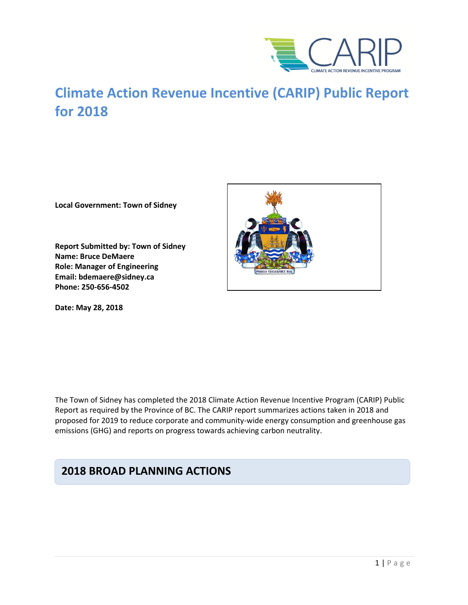

# **Climate Action Revenue Incentive (CARIP) Public Report for 2018**

**Local Government: Town of Sidney**

**Report Submitted by: Town of Sidney Name: Bruce DeMaere Role: Manager of Engineering Email: bdemaere@sidney.ca Phone: 250-656-4502**

**Date: May 28, 2018**



The Town of Sidney has completed the 2018 Climate Action Revenue Incentive Program (CARIP) Public Report as required by the Province of BC. The CARIP report summarizes actions taken in 2018 and proposed for 2019 to reduce corporate and community-wide energy consumption and greenhouse gas emissions (GHG) and reports on progress towards achieving carbon neutrality.

## **2018 BROAD PLANNING ACTIONS**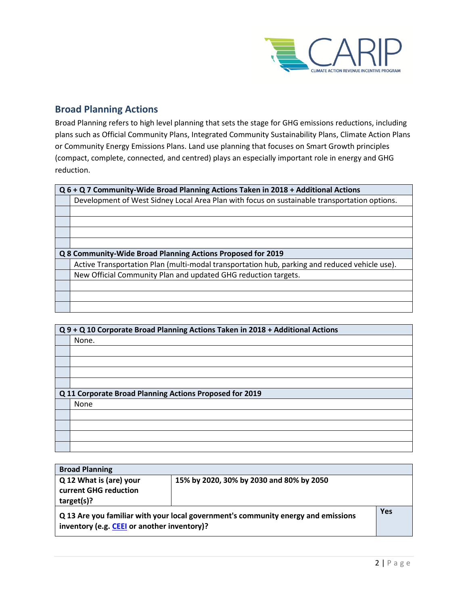

### **Broad Planning Actions**

Broad Planning refers to high level planning that sets the stage for GHG emissions reductions, including plans such as Official Community Plans, Integrated Community Sustainability Plans, Climate Action Plans or Community Energy Emissions Plans. Land use planning that focuses on Smart Growth principles (compact, complete, connected, and centred) plays an especially important role in energy and GHG reduction.

| Q 6 + Q 7 Community-Wide Broad Planning Actions Taken in 2018 + Additional Actions            |  |
|-----------------------------------------------------------------------------------------------|--|
| Development of West Sidney Local Area Plan with focus on sustainable transportation options.  |  |
|                                                                                               |  |
|                                                                                               |  |
|                                                                                               |  |
|                                                                                               |  |
| Q 8 Community-Wide Broad Planning Actions Proposed for 2019                                   |  |
| Active Transportation Plan (multi-modal transportation hub, parking and reduced vehicle use). |  |
| New Official Community Plan and updated GHG reduction targets.                                |  |
|                                                                                               |  |
|                                                                                               |  |
|                                                                                               |  |

|                                                         | Q 9 + Q 10 Corporate Broad Planning Actions Taken in 2018 + Additional Actions |  |
|---------------------------------------------------------|--------------------------------------------------------------------------------|--|
|                                                         | None.                                                                          |  |
|                                                         |                                                                                |  |
|                                                         |                                                                                |  |
|                                                         |                                                                                |  |
|                                                         |                                                                                |  |
| Q 11 Corporate Broad Planning Actions Proposed for 2019 |                                                                                |  |
|                                                         |                                                                                |  |
|                                                         | None                                                                           |  |
|                                                         |                                                                                |  |
|                                                         |                                                                                |  |
|                                                         |                                                                                |  |

| <b>Broad Planning</b>                                          |                                                                                   |            |
|----------------------------------------------------------------|-----------------------------------------------------------------------------------|------------|
| Q 12 What is (are) your<br>current GHG reduction<br>target(s)? | 15% by 2020, 30% by 2030 and 80% by 2050                                          |            |
| inventory (e.g. CEEI or another inventory)?                    | Q 13 Are you familiar with your local government's community energy and emissions | <b>Yes</b> |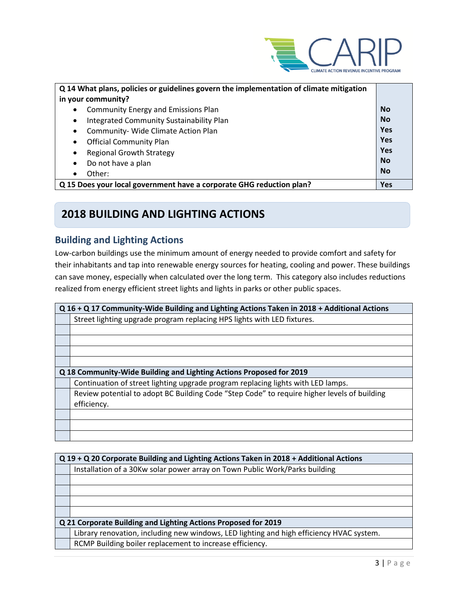

| Q 14 What plans, policies or guidelines govern the implementation of climate mitigation |            |
|-----------------------------------------------------------------------------------------|------------|
| in your community?                                                                      |            |
| <b>Community Energy and Emissions Plan</b><br>$\bullet$                                 | <b>No</b>  |
| Integrated Community Sustainability Plan<br>$\bullet$                                   | <b>No</b>  |
| Community- Wide Climate Action Plan<br>$\bullet$                                        | Yes        |
| <b>Official Community Plan</b><br>$\bullet$                                             | Yes        |
| <b>Regional Growth Strategy</b><br>$\bullet$                                            | Yes        |
| Do not have a plan<br>$\bullet$                                                         | <b>No</b>  |
| Other:<br>$\bullet$                                                                     | <b>No</b>  |
| Q 15 Does your local government have a corporate GHG reduction plan?                    | <b>Yes</b> |

## **2018 BUILDING AND LIGHTING ACTIONS**

### **Building and Lighting Actions**

Low-carbon buildings use the minimum amount of energy needed to provide comfort and safety for their inhabitants and tap into renewable energy sources for heating, cooling and power. These buildings can save money, especially when calculated over the long term. This category also includes reductions realized from energy efficient street lights and lights in parks or other public spaces.

| Q 16 + Q 17 Community-Wide Building and Lighting Actions Taken in 2018 + Additional Actions |  |
|---------------------------------------------------------------------------------------------|--|
| Street lighting upgrade program replacing HPS lights with LED fixtures.                     |  |
|                                                                                             |  |
|                                                                                             |  |
|                                                                                             |  |
|                                                                                             |  |
|                                                                                             |  |
| Q 18 Community-Wide Building and Lighting Actions Proposed for 2019                         |  |
| Continuation of street lighting upgrade program replacing lights with LED lamps.            |  |
| Review potential to adopt BC Building Code "Step Code" to require higher levels of building |  |
| efficiency.                                                                                 |  |
|                                                                                             |  |
|                                                                                             |  |
|                                                                                             |  |

| Q 19 + Q 20 Corporate Building and Lighting Actions Taken in 2018 + Additional Actions   |  |
|------------------------------------------------------------------------------------------|--|
| Installation of a 30Kw solar power array on Town Public Work/Parks building              |  |
|                                                                                          |  |
|                                                                                          |  |
|                                                                                          |  |
|                                                                                          |  |
| Q 21 Corporate Building and Lighting Actions Proposed for 2019                           |  |
| Library renovation, including new windows, LED lighting and high efficiency HVAC system. |  |
| RCMP Building boiler replacement to increase efficiency.                                 |  |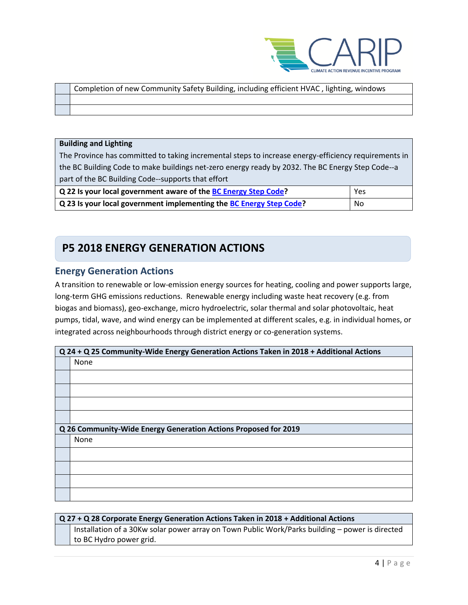

| Completion of new Community Safety Building, including efficient HVAC, lighting, windows |
|------------------------------------------------------------------------------------------|
|                                                                                          |
|                                                                                          |

#### **Building and Lighting**

The Province has committed to taking incremental steps to increase energy-efficiency requirements in the BC Building Code to make buildings net-zero energy ready by 2032. The BC Energy Step Code--a part of the BC Building Code--supports that effort

| Q 22 Is your local government aware of the BC Energy Step Code?     | Yes |
|---------------------------------------------------------------------|-----|
| Q 23 Is your local government implementing the BC Energy Step Code? | No  |

## **P5 2018 ENERGY GENERATION ACTIONS**

### **Energy Generation Actions**

A transition to renewable or low-emission energy sources for heating, cooling and power supports large, long-term GHG emissions reductions. Renewable energy including waste heat recovery (e.g. from biogas and biomass), geo-exchange, micro hydroelectric, solar thermal and solar photovoltaic, heat pumps, tidal, wave, and wind energy can be implemented at different scales, e.g. in individual homes, or integrated across neighbourhoods through district energy or co-generation systems.

| Q 24 + Q 25 Community-Wide Energy Generation Actions Taken in 2018 + Additional Actions |  |
|-----------------------------------------------------------------------------------------|--|
| None                                                                                    |  |
|                                                                                         |  |
|                                                                                         |  |
|                                                                                         |  |
|                                                                                         |  |
| Q 26 Community-Wide Energy Generation Actions Proposed for 2019                         |  |
| None                                                                                    |  |
|                                                                                         |  |
|                                                                                         |  |
|                                                                                         |  |
|                                                                                         |  |

#### **Q 27 + Q 28 Corporate Energy Generation Actions Taken in 2018 + Additional Actions**

Installation of a 30Kw solar power array on Town Public Work/Parks building – power is directed to BC Hydro power grid.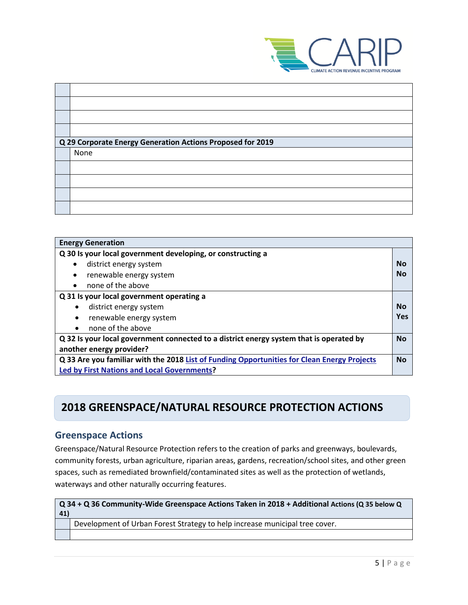

| Q 29 Corporate Energy Generation Actions Proposed for 2019 |
|------------------------------------------------------------|
| None                                                       |
|                                                            |
|                                                            |
|                                                            |
|                                                            |
|                                                            |

| <b>Energy Generation</b>                                                                    |           |
|---------------------------------------------------------------------------------------------|-----------|
| Q 30 Is your local government developing, or constructing a                                 |           |
| district energy system                                                                      | Nο        |
| renewable energy system<br>٠                                                                | Nο        |
| none of the above                                                                           |           |
| Q 31 Is your local government operating a                                                   |           |
| district energy system                                                                      | Nο        |
| renewable energy system<br>$\bullet$                                                        | Yes       |
| none of the above<br>$\bullet$                                                              |           |
| Q 32 Is your local government connected to a district energy system that is operated by     | <b>No</b> |
| another energy provider?                                                                    |           |
| Q 33 Are you familiar with the 2018 List of Funding Opportunities for Clean Energy Projects | <b>No</b> |
| <b>Led by First Nations and Local Governments?</b>                                          |           |

## **2018 GREENSPACE/NATURAL RESOURCE PROTECTION ACTIONS**

## **Greenspace Actions**

Greenspace/Natural Resource Protection refers to the creation of parks and greenways, boulevards, community forests, urban agriculture, riparian areas, gardens, recreation/school sites, and other green spaces, such as remediated brownfield/contaminated sites as well as the protection of wetlands, waterways and other naturally occurring features.

| Q 34 + Q 36 Community-Wide Greenspace Actions Taken in 2018 + Additional Actions (Q 35 below Q<br>41) |                                                                             |
|-------------------------------------------------------------------------------------------------------|-----------------------------------------------------------------------------|
|                                                                                                       | Development of Urban Forest Strategy to help increase municipal tree cover. |
|                                                                                                       |                                                                             |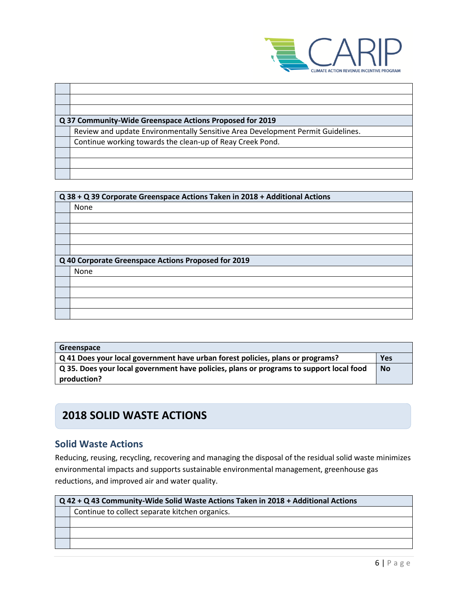

| Q 37 Community-Wide Greenspace Actions Proposed for 2019                        |
|---------------------------------------------------------------------------------|
| Review and update Environmentally Sensitive Area Development Permit Guidelines. |
| Continue working towards the clean-up of Reay Creek Pond.                       |
|                                                                                 |
|                                                                                 |
|                                                                                 |

| Q 38 + Q 39 Corporate Greenspace Actions Taken in 2018 + Additional Actions |  |
|-----------------------------------------------------------------------------|--|
| None                                                                        |  |
|                                                                             |  |
|                                                                             |  |
|                                                                             |  |
|                                                                             |  |
| Q 40 Corporate Greenspace Actions Proposed for 2019                         |  |
| None                                                                        |  |
|                                                                             |  |
|                                                                             |  |
|                                                                             |  |
|                                                                             |  |

| Greenspace                                                                              |     |
|-----------------------------------------------------------------------------------------|-----|
| $\sqrt{Q}$ 41 Does your local government have urban forest policies, plans or programs? | Yes |
| Q 35. Does your local government have policies, plans or programs to support local food |     |
| production?                                                                             |     |

## **2018 SOLID WASTE ACTIONS**

## **Solid Waste Actions**

Reducing, reusing, recycling, recovering and managing the disposal of the residual solid waste minimizes environmental impacts and supports sustainable environmental management, greenhouse gas reductions, and improved air and water quality.

| Q 42 + Q 43 Community-Wide Solid Waste Actions Taken in 2018 + Additional Actions |                                                |
|-----------------------------------------------------------------------------------|------------------------------------------------|
|                                                                                   | Continue to collect separate kitchen organics. |
|                                                                                   |                                                |
|                                                                                   |                                                |
|                                                                                   |                                                |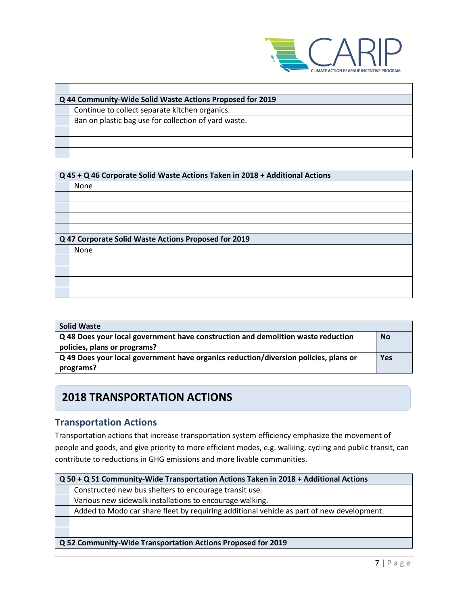

| Q 44 Community-Wide Solid Waste Actions Proposed for 2019 |  |
|-----------------------------------------------------------|--|
| Continue to collect separate kitchen organics.            |  |
| Ban on plastic bag use for collection of yard waste.      |  |
|                                                           |  |
|                                                           |  |
|                                                           |  |
|                                                           |  |

| Q 45 + Q 46 Corporate Solid Waste Actions Taken in 2018 + Additional Actions |  |
|------------------------------------------------------------------------------|--|
| None                                                                         |  |
|                                                                              |  |
|                                                                              |  |
|                                                                              |  |
|                                                                              |  |
|                                                                              |  |
| Q 47 Corporate Solid Waste Actions Proposed for 2019                         |  |
| None                                                                         |  |
|                                                                              |  |
|                                                                              |  |
|                                                                              |  |

| <b>Solid Waste</b>                                                                   |           |
|--------------------------------------------------------------------------------------|-----------|
| Q 48 Does your local government have construction and demolition waste reduction     | <b>No</b> |
| policies, plans or programs?                                                         |           |
| Q 49 Does your local government have organics reduction/diversion policies, plans or | Yes       |
| programs?                                                                            |           |

## **2018 TRANSPORTATION ACTIONS**

## **Transportation Actions**

Transportation actions that increase transportation system efficiency emphasize the movement of people and goods, and give priority to more efficient modes, e.g. walking, cycling and public transit, can contribute to reductions in GHG emissions and more livable communities.

| Q 50 + Q 51 Community-Wide Transportation Actions Taken in 2018 + Additional Actions      |  |
|-------------------------------------------------------------------------------------------|--|
| Constructed new bus shelters to encourage transit use.                                    |  |
| Various new sidewalk installations to encourage walking.                                  |  |
| Added to Modo car share fleet by requiring additional vehicle as part of new development. |  |
|                                                                                           |  |
|                                                                                           |  |
| Q 52 Community-Wide Transportation Actions Proposed for 2019                              |  |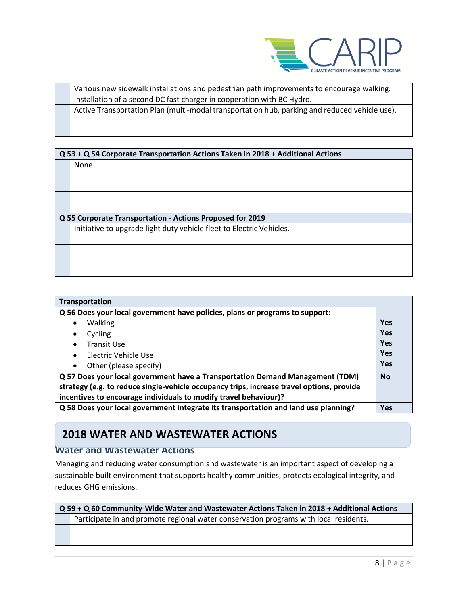

| Various new sidewalk installations and pedestrian path improvements to encourage walking.     |
|-----------------------------------------------------------------------------------------------|
| Installation of a second DC fast charger in cooperation with BC Hydro.                        |
| Active Transportation Plan (multi-modal transportation hub, parking and reduced vehicle use). |
|                                                                                               |
|                                                                                               |

| Q 53 + Q 54 Corporate Transportation Actions Taken in 2018 + Additional Actions |  |
|---------------------------------------------------------------------------------|--|
| None                                                                            |  |
|                                                                                 |  |
|                                                                                 |  |
|                                                                                 |  |
|                                                                                 |  |
| Q 55 Corporate Transportation - Actions Proposed for 2019                       |  |
| Initiative to upgrade light duty vehicle fleet to Electric Vehicles.            |  |
|                                                                                 |  |
|                                                                                 |  |
|                                                                                 |  |
|                                                                                 |  |

| Transportation                                                                                    |     |
|---------------------------------------------------------------------------------------------------|-----|
| Q 56 Does your local government have policies, plans or programs to support:                      |     |
| <b>Walking</b><br>$\bullet$                                                                       | Yes |
| Cycling<br>$\bullet$                                                                              | Yes |
| <b>Transit Use</b><br>$\bullet$                                                                   | Yes |
| Electric Vehicle Use<br>$\bullet$                                                                 | Yes |
| Other (please specify)<br>$\bullet$                                                               | Yes |
| Q 57 Does your local government have a Transportation Demand Management (TDM)                     |     |
| strategy (e.g. to reduce single-vehicle occupancy trips, increase travel options, provide         |     |
| incentives to encourage individuals to modify travel behaviour)?                                  |     |
| Q 58 Does your local government integrate its transportation and land use planning?<br><b>Yes</b> |     |

## **2018 WATER AND WASTEWATER ACTIONS**

### **Water and Wastewater Actions**

Managing and reducing water consumption and wastewater is an important aspect of developing a sustainable built environment that supports healthy communities, protects ecological integrity, and reduces GHG emissions.

| Q 59 + Q 60 Community-Wide Water and Wastewater Actions Taken in 2018 + Additional Actions |  |
|--------------------------------------------------------------------------------------------|--|
| Participate in and promote regional water conservation programs with local residents.      |  |
|                                                                                            |  |
|                                                                                            |  |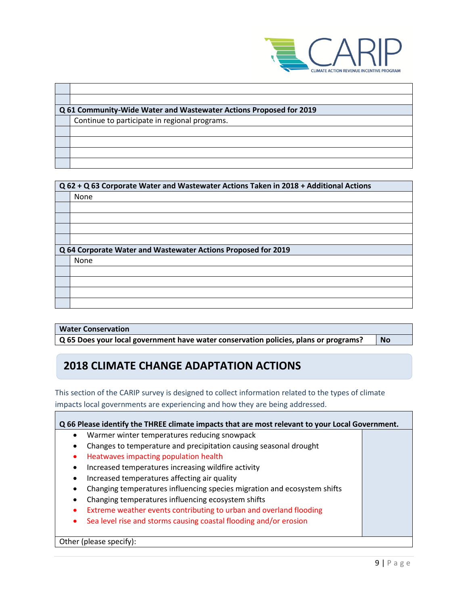

| Q 61 Community-Wide Water and Wastewater Actions Proposed for 2019 |  |  |
|--------------------------------------------------------------------|--|--|
| Continue to participate in regional programs.                      |  |  |
|                                                                    |  |  |
|                                                                    |  |  |
|                                                                    |  |  |
|                                                                    |  |  |
|                                                                    |  |  |

| Q 62 + Q 63 Corporate Water and Wastewater Actions Taken in 2018 + Additional Actions |                                                               |  |
|---------------------------------------------------------------------------------------|---------------------------------------------------------------|--|
|                                                                                       | None                                                          |  |
|                                                                                       |                                                               |  |
|                                                                                       |                                                               |  |
|                                                                                       |                                                               |  |
|                                                                                       |                                                               |  |
|                                                                                       | Q 64 Corporate Water and Wastewater Actions Proposed for 2019 |  |
|                                                                                       | None                                                          |  |
|                                                                                       |                                                               |  |
|                                                                                       |                                                               |  |
|                                                                                       |                                                               |  |
|                                                                                       |                                                               |  |

#### **Water Conservation**

**Q 65 Does your local government have water conservation policies, plans or programs? No**

## **2018 CLIMATE CHANGE ADAPTATION ACTIONS**

This section of the CARIP survey is designed to collect information related to the types of climate impacts local governments are experiencing and how they are being addressed.

| Q 66 Please identify the THREE climate impacts that are most relevant to your Local Government. |  |  |
|-------------------------------------------------------------------------------------------------|--|--|
| Warmer winter temperatures reducing snowpack<br>٠                                               |  |  |
| Changes to temperature and precipitation causing seasonal drought<br>$\bullet$                  |  |  |
| Heatwaves impacting population health                                                           |  |  |
| Increased temperatures increasing wildfire activity<br>٠                                        |  |  |
| Increased temperatures affecting air quality<br>٠                                               |  |  |
| Changing temperatures influencing species migration and ecosystem shifts<br>$\bullet$           |  |  |
| Changing temperatures influencing ecosystem shifts<br>٠                                         |  |  |
| Extreme weather events contributing to urban and overland flooding                              |  |  |
| Sea level rise and storms causing coastal flooding and/or erosion                               |  |  |
|                                                                                                 |  |  |

Other (please specify):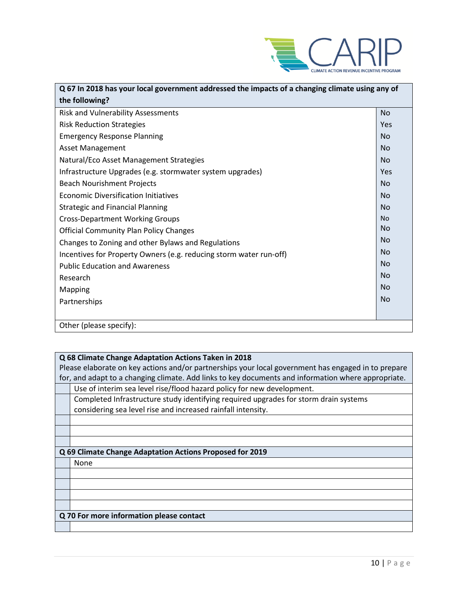

| Q 67 In 2018 has your local government addressed the impacts of a changing climate using any of |           |  |
|-------------------------------------------------------------------------------------------------|-----------|--|
| the following?                                                                                  |           |  |
| <b>Risk and Vulnerability Assessments</b>                                                       | <b>No</b> |  |
| <b>Risk Reduction Strategies</b>                                                                | Yes       |  |
| <b>Emergency Response Planning</b>                                                              | <b>No</b> |  |
| <b>Asset Management</b>                                                                         | <b>No</b> |  |
| Natural/Eco Asset Management Strategies                                                         | <b>No</b> |  |
| Infrastructure Upgrades (e.g. stormwater system upgrades)                                       | Yes       |  |
| <b>Beach Nourishment Projects</b>                                                               | <b>No</b> |  |
| <b>Economic Diversification Initiatives</b>                                                     | <b>No</b> |  |
| <b>Strategic and Financial Planning</b>                                                         | <b>No</b> |  |
| <b>Cross-Department Working Groups</b>                                                          | <b>No</b> |  |
| <b>Official Community Plan Policy Changes</b>                                                   | <b>No</b> |  |
| Changes to Zoning and other Bylaws and Regulations                                              | <b>No</b> |  |
| Incentives for Property Owners (e.g. reducing storm water run-off)                              | <b>No</b> |  |
| <b>Public Education and Awareness</b>                                                           | <b>No</b> |  |
| Research                                                                                        | <b>No</b> |  |
| <b>Mapping</b>                                                                                  | <b>No</b> |  |
| Partnerships                                                                                    | <b>No</b> |  |
|                                                                                                 |           |  |
| Other (please specify):                                                                         |           |  |

#### **Q 68 Climate Change Adaptation Actions Taken in 2018**

Please elaborate on key actions and/or partnerships your local government has engaged in to prepare for, and adapt to a changing climate. Add links to key documents and information where appropriate.

Use of interim sea level rise/flood hazard policy for new development.

Completed Infrastructure study identifying required upgrades for storm drain systems considering sea level rise and increased rainfall intensity.

#### **Q 69 Climate Change Adaptation Actions Proposed for 2019**

None

#### **Q 70 For more information please contact**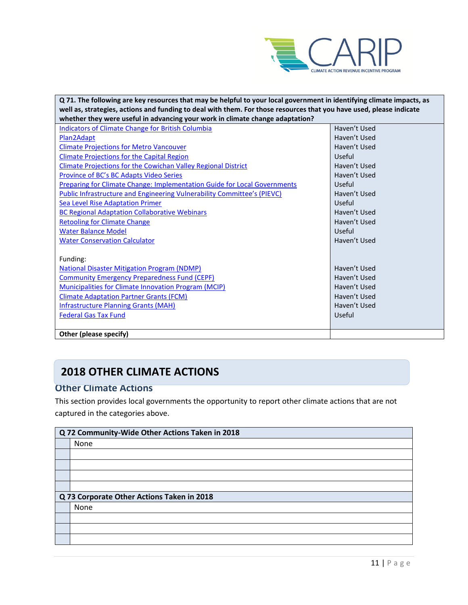

| Q 71. The following are key resources that may be helpful to your local government in identifying climate impacts, as |              |  |
|-----------------------------------------------------------------------------------------------------------------------|--------------|--|
| well as, strategies, actions and funding to deal with them. For those resources that you have used, please indicate   |              |  |
| whether they were useful in advancing your work in climate change adaptation?                                         |              |  |
| <b>Indicators of Climate Change for British Columbia</b>                                                              | Haven't Used |  |
| Plan2Adapt                                                                                                            | Haven't Used |  |
| <b>Climate Projections for Metro Vancouver</b>                                                                        | Haven't Used |  |
| <b>Climate Projections for the Capital Region</b>                                                                     | Useful       |  |
| <b>Climate Projections for the Cowichan Valley Regional District</b>                                                  | Haven't Used |  |
| Province of BC's BC Adapts Video Series                                                                               | Haven't Used |  |
| <b>Preparing for Climate Change: Implementation Guide for Local Governments</b>                                       | Useful       |  |
| Public Infrastructure and Engineering Vulnerability Committee's (PIEVC)                                               | Haven't Used |  |
| <b>Sea Level Rise Adaptation Primer</b>                                                                               | Useful       |  |
| <b>BC Regional Adaptation Collaborative Webinars</b>                                                                  | Haven't Used |  |
| <b>Retooling for Climate Change</b>                                                                                   | Haven't Used |  |
| <b>Water Balance Model</b>                                                                                            | Useful       |  |
| <b>Water Conservation Calculator</b>                                                                                  | Haven't Used |  |
|                                                                                                                       |              |  |
| Funding:                                                                                                              |              |  |
| <b>National Disaster Mitigation Program (NDMP)</b>                                                                    | Haven't Used |  |
| <b>Community Emergency Preparedness Fund (CEPF)</b>                                                                   | Haven't Used |  |
| <b>Municipalities for Climate Innovation Program (MCIP)</b>                                                           | Haven't Used |  |
| <b>Climate Adaptation Partner Grants (FCM)</b>                                                                        | Haven't Used |  |
| <b>Infrastructure Planning Grants (MAH)</b>                                                                           | Haven't Used |  |
| <b>Federal Gas Tax Fund</b>                                                                                           | Useful       |  |
|                                                                                                                       |              |  |
| Other (please specify)                                                                                                |              |  |

## **2018 OTHER CLIMATE ACTIONS**

### **Other Climate Actions**

This section provides local governments the opportunity to report other climate actions that are not captured in the categories above.

| Q 72 Community-Wide Other Actions Taken in 2018 |  |
|-------------------------------------------------|--|
| None                                            |  |
|                                                 |  |
|                                                 |  |
|                                                 |  |
|                                                 |  |
| Q 73 Corporate Other Actions Taken in 2018      |  |
| None                                            |  |
|                                                 |  |
|                                                 |  |
|                                                 |  |
|                                                 |  |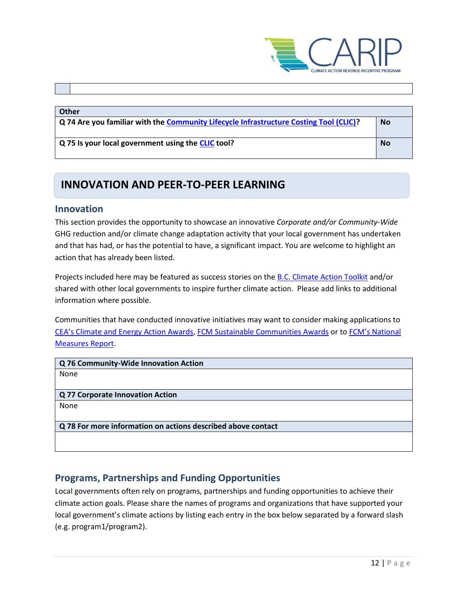

#### **Other**

**Q 74 Are you familiar with the [Community Lifecycle Infrastructure Costing Tool \(CLIC\)?](https://toolkit.bc.ca/Plan-Do/Community-Lifecycle-Infrastructure-Costing-CLIC-Tool) No**

**Q 75 Is your local government using the [CLIC](https://toolkit.bc.ca/Plan-Do/Community-Lifecycle-Infrastructure-Costing-CLIC-Tool) tool? No**

## **INNOVATION AND PEER-TO-PEER LEARNING**

### **Innovation**

This section provides the opportunity to showcase an innovative *Corporate and/or Community-Wide*  GHG reduction and/or climate change adaptation activity that your local government has undertaken and that has had, or has the potential to have, a significant impact. You are welcome to highlight an action that has already been listed.

Projects included here may be featured as success stories on th[e B.C. Climate Action Toolkit](http://www.toolkit.bc.ca/) and/or shared with other local governments to inspire further climate action. Please add links to additional information where possible.

Communities that have conducted innovative initiatives may want to consider making applications to [CEA's Climate and Energy Action Awards](http://communityenergy.bc.ca/climate-and-energy-action-awards/), FCM [Sustainable Communities Awards](https://fcm.ca/home/awards/sustainable-communities-awards.htm) or to [FCM's National](https://fcm.ca/home/programs/partners-for-climate-protection/national-measures-report.htm)  [Measures Report.](https://fcm.ca/home/programs/partners-for-climate-protection/national-measures-report.htm)

**Q 76 Community-Wide Innovation Action** None

**Q 77 Corporate Innovation Action** None

**Q 78 For more information on actions described above contact**

### **Programs, Partnerships and Funding Opportunities**

Local governments often rely on programs, partnerships and funding opportunities to achieve their climate action goals. Please share the names of programs and organizations that have supported your local government's climate actions by listing each entry in the box below separated by a forward slash (e.g. program1/program2).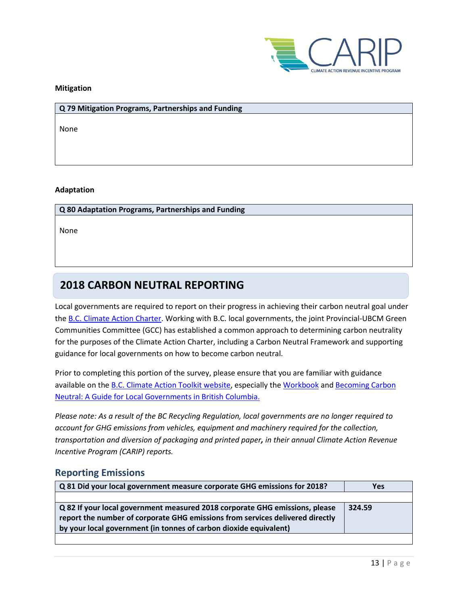

#### **Mitigation**

#### **Q 79 Mitigation Programs, Partnerships and Funding**

None

#### **Adaptation**

#### **Q 80 Adaptation Programs, Partnerships and Funding**

None

## **2018 CARBON NEUTRAL REPORTING**

Local governments are required to report on their progress in achieving their carbon neutral goal under th[e B.C. Climate Action Charter.](https://www2.gov.bc.ca/gov/content/governments/local-governments/climate-action/bc-climate-action-charter) Working with B.C. local governments, the joint Provincial-UBCM Green Communities Committee (GCC) has established a common approach to determining carbon neutrality for the purposes of the Climate Action Charter, including a Carbon Neutral Framework and supporting guidance for local governments on how to become carbon neutral.

Prior to completing this portion of the survey, please ensure that you are familiar with guidance available on the **B.C. Climate Action Toolkit website**, especially the [Workbook](https://www.toolkit.bc.ca/sites/default/files/CarbonNeutralWorkbook.V2_noapdcs_03.12_1.pdf) and Becoming Carbon [Neutral: A Guide for Local Governments in British Columbia.](http://www.toolkit.bc.ca/sites/default/files/Becoming%20Carbon%20Neutral%20V3%20FINAL%20July%202014_0.pdf)

*Please note: As a result of the BC Recycling Regulation, local governments are no longer required to account for GHG emissions from vehicles, equipment and machinery required for the collection, transportation and diversion of packaging and printed paper, in their annual Climate Action Revenue Incentive Program (CARIP) reports.*

### **Reporting Emissions**

| Q 81 Did your local government measure corporate GHG emissions for 2018?                                                                                                                                                          | <b>Yes</b> |
|-----------------------------------------------------------------------------------------------------------------------------------------------------------------------------------------------------------------------------------|------------|
|                                                                                                                                                                                                                                   |            |
| Q 82 If your local government measured 2018 corporate GHG emissions, please<br>report the number of corporate GHG emissions from services delivered directly<br>by your local government (in tonnes of carbon dioxide equivalent) | 324.59     |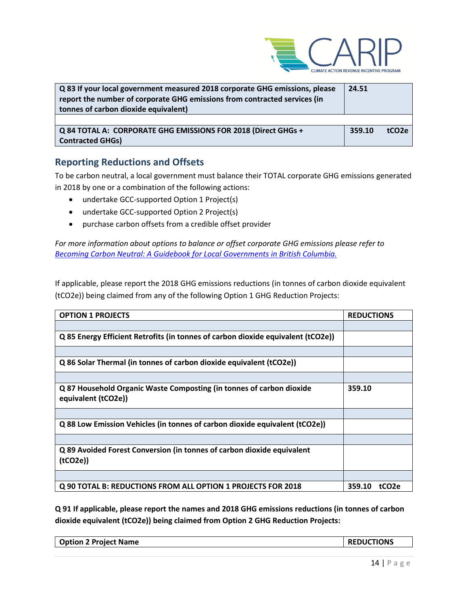

| Q 83 If your local government measured 2018 corporate GHG emissions, please<br>report the number of corporate GHG emissions from contracted services (in<br>tonnes of carbon dioxide equivalent) |        |                   |
|--------------------------------------------------------------------------------------------------------------------------------------------------------------------------------------------------|--------|-------------------|
| Q 84 TOTAL A: CORPORATE GHG EMISSIONS FOR 2018 (Direct GHGs +                                                                                                                                    | 359.10 | tCO <sub>2e</sub> |
| <b>Contracted GHGs)</b>                                                                                                                                                                          |        |                   |

### **Reporting Reductions and Offsets**

To be carbon neutral, a local government must balance their TOTAL corporate GHG emissions generated in 2018 by one or a combination of the following actions:

- undertake GCC-supported Option 1 Project(s)
- undertake GCC-supported Option 2 Project(s)
- purchase carbon offsets from a credible offset provider

*For more information about options to balance or offset corporate GHG emissions please refer to [Becoming Carbon Neutral: A Guidebook for Local Governments in British Columbia.](http://www.toolkit.bc.ca/sites/default/files/Becoming%20Carbon%20Neutral%20V3%20FINAL%20July%202014_0.pdf)*

If applicable, please report the 2018 GHG emissions reductions (in tonnes of carbon dioxide equivalent (tCO2e)) being claimed from any of the following Option 1 GHG Reduction Projects:

| <b>OPTION 1 PROJECTS</b>                                                                    | <b>REDUCTIONS</b>           |
|---------------------------------------------------------------------------------------------|-----------------------------|
|                                                                                             |                             |
| Q 85 Energy Efficient Retrofits (in tonnes of carbon dioxide equivalent (tCO2e))            |                             |
|                                                                                             |                             |
| Q 86 Solar Thermal (in tonnes of carbon dioxide equivalent (tCO2e))                         |                             |
|                                                                                             |                             |
| Q 87 Household Organic Waste Composting (in tonnes of carbon dioxide<br>equivalent (tCO2e)) | 359.10                      |
|                                                                                             |                             |
| Q 88 Low Emission Vehicles (in tonnes of carbon dioxide equivalent (tCO2e))                 |                             |
|                                                                                             |                             |
| Q 89 Avoided Forest Conversion (in tonnes of carbon dioxide equivalent<br>(tCO2e)           |                             |
|                                                                                             |                             |
| Q 90 TOTAL B: REDUCTIONS FROM ALL OPTION 1 PROJECTS FOR 2018                                | 359.10<br>tCO <sub>2e</sub> |

**Q 91 If applicable, please report the names and 2018 GHG emissions reductions (in tonnes of carbon dioxide equivalent (tCO2e)) being claimed from Option 2 GHG Reduction Projects:**

| <b>Option 2 Project Name</b> | <b>REDUCTIONS</b> |
|------------------------------|-------------------|
|                              |                   |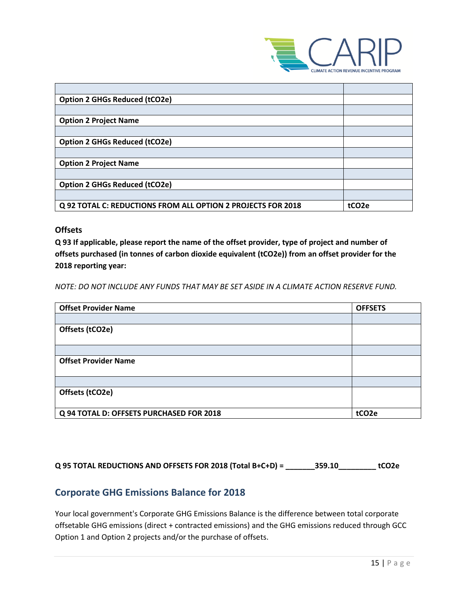

| <b>Option 2 GHGs Reduced (tCO2e)</b>                         |                   |
|--------------------------------------------------------------|-------------------|
|                                                              |                   |
| <b>Option 2 Project Name</b>                                 |                   |
|                                                              |                   |
| <b>Option 2 GHGs Reduced (tCO2e)</b>                         |                   |
|                                                              |                   |
| <b>Option 2 Project Name</b>                                 |                   |
|                                                              |                   |
| <b>Option 2 GHGs Reduced (tCO2e)</b>                         |                   |
|                                                              |                   |
| Q 92 TOTAL C: REDUCTIONS FROM ALL OPTION 2 PROJECTS FOR 2018 | tCO <sub>2e</sub> |

### **Offsets**

**Q 93 If applicable, please report the name of the offset provider, type of project and number of offsets purchased (in tonnes of carbon dioxide equivalent (tCO2e)) from an offset provider for the 2018 reporting year:**

*NOTE: DO NOT INCLUDE ANY FUNDS THAT MAY BE SET ASIDE IN A CLIMATE ACTION RESERVE FUND.*

| <b>Offset Provider Name</b>              | <b>OFFSETS</b>    |
|------------------------------------------|-------------------|
|                                          |                   |
| Offsets (tCO2e)                          |                   |
|                                          |                   |
|                                          |                   |
| <b>Offset Provider Name</b>              |                   |
|                                          |                   |
|                                          |                   |
| Offsets (tCO2e)                          |                   |
|                                          |                   |
| Q 94 TOTAL D: OFFSETS PURCHASED FOR 2018 | tCO <sub>2e</sub> |

**Q 95 TOTAL REDUCTIONS AND OFFSETS FOR 2018 (Total B+C+D) = \_\_\_\_\_\_\_359.10\_\_\_\_\_\_\_\_\_ tCO2e**

### **Corporate GHG Emissions Balance for 2018**

Your local government's Corporate GHG Emissions Balance is the difference between total corporate offsetable GHG emissions (direct + contracted emissions) and the GHG emissions reduced through GCC Option 1 and Option 2 projects and/or the purchase of offsets.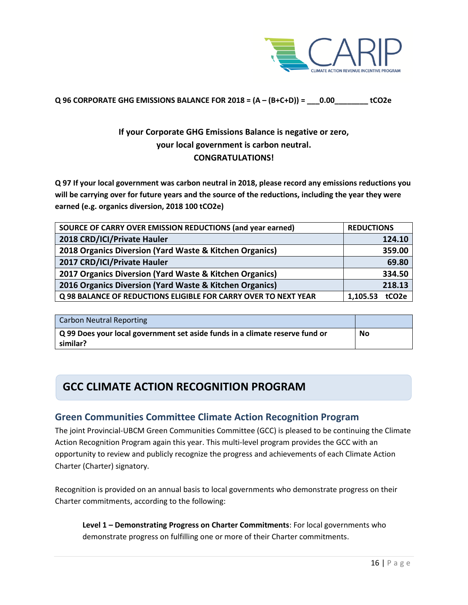

### **Q 96 CORPORATE GHG EMISSIONS BALANCE FOR 2018 = (A – (B+C+D)) = \_\_\_0.00\_\_\_\_\_\_\_\_ tCO2e**

## **If your Corporate GHG Emissions Balance is negative or zero, your local government is carbon neutral. CONGRATULATIONS!**

**Q 97 If your local government was carbon neutral in 2018, please record any emissions reductions you will be carrying over for future years and the source of the reductions, including the year they were earned (e.g. organics diversion, 2018 100 tCO2e)**

| SOURCE OF CARRY OVER EMISSION REDUCTIONS (and year earned)      | <b>REDUCTIONS</b>             |
|-----------------------------------------------------------------|-------------------------------|
| 2018 CRD/ICI/Private Hauler                                     | 124.10                        |
| 2018 Organics Diversion (Yard Waste & Kitchen Organics)         | 359.00                        |
| 2017 CRD/ICI/Private Hauler                                     | 69.80                         |
| 2017 Organics Diversion (Yard Waste & Kitchen Organics)         | 334.50                        |
| 2016 Organics Diversion (Yard Waste & Kitchen Organics)         | 218.13                        |
| Q 98 BALANCE OF REDUCTIONS ELIGIBLE FOR CARRY OVER TO NEXT YEAR | tCO <sub>2e</sub><br>1,105.53 |

| <b>Carbon Neutral Reporting</b>                                                          |    |
|------------------------------------------------------------------------------------------|----|
| Q 99 Does your local government set aside funds in a climate reserve fund or<br>similar? | No |

## **GCC CLIMATE ACTION RECOGNITION PROGRAM**

### **Green Communities Committee Climate Action Recognition Program**

The joint Provincial-UBCM Green Communities Committee (GCC) is pleased to be continuing the Climate Action Recognition Program again this year. This multi-level program provides the GCC with an opportunity to review and publicly recognize the progress and achievements of each Climate Action Charter (Charter) signatory.

Recognition is provided on an annual basis to local governments who demonstrate progress on their Charter commitments, according to the following:

**Level 1 – Demonstrating Progress on Charter Commitments**: For local governments who demonstrate progress on fulfilling one or more of their Charter commitments.